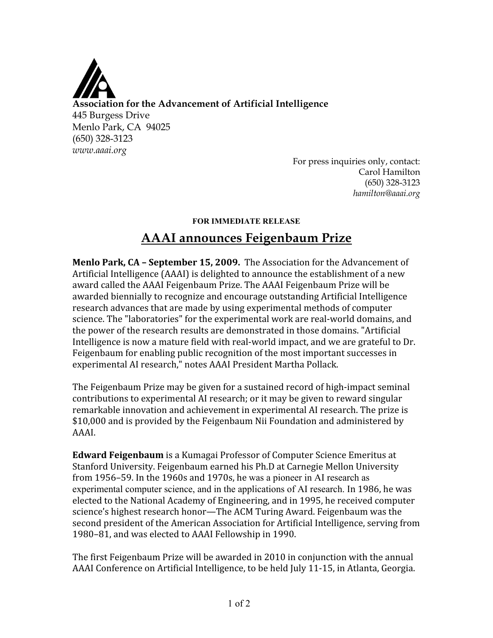

**Association for the Advancement of Artificial Intelligence** 445 Burgess Drive Menlo Park, CA 94025 (650) 328-3123 *www.aaai.org*

For press inquiries only, contact: Carol Hamilton (650) 328-3123 *hamilton@aaai.org*

## **FOR IMMEDIATE RELEASE**

## **AAAI announces Feigenbaum Prize**

**Menlo Park, CA - September 15, 2009.** The Association for the Advancement of Artificial Intelligence (AAAI) is delighted to announce the establishment of a new award called the AAAI Feigenbaum Prize. The AAAI Feigenbaum Prize will be awarded biennially to recognize and encourage outstanding Artificial Intelligence research advances that are made by using experimental methods of computer science. The "laboratories" for the experimental work are real‐world domains, and the power of the research results are demonstrated in those domains. "Artificial Intelligence is now a mature field with real-world impact, and we are grateful to Dr. Feigenbaum for enabling public recognition of the most important successes in experimental AI research," notes AAAI President Martha Pollack.

The Feigenbaum Prize may be given for a sustained record of high‐impact seminal contributions to experimental AI research; or it may be given to reward singular remarkable innovation and achievement in experimental AI research. The prize is \$10,000 and is provided by the Feigenbaum Nii Foundation and administered by AAAI.

**Edward Feigenbaum** is a Kumagai Professor of Computer Science Emeritus at Stanford University. Feigenbaum earned his Ph.D at Carnegie Mellon University from 1956–59. In the 1960s and 1970s, he was a pioneer in AI research as experimental computer science, and in the applications of AI research. In 1986, he was elected to the National Academy of Engineering, and in 1995, he received computer science's highest research honor—The ACM Turing Award. Feigenbaum was the second president of the American Association for Artificial Intelligence, serving from 1980–81, and was elected to AAAI Fellowship in 1990.

The first Feigenbaum Prize will be awarded in 2010 in conjunction with the annual AAAI Conference on Artificial Intelligence, to be held July 11‐15, in Atlanta, Georgia.